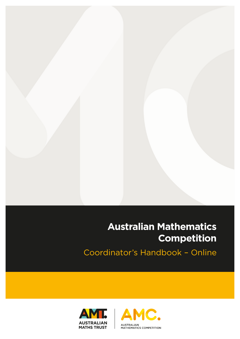# **Australian Mathematics Competition**

Coordinator's Handbook - Online



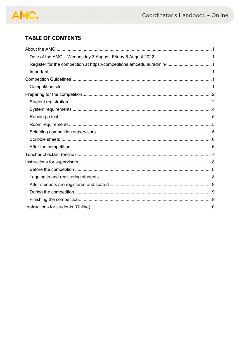# AMC.

# **TABLE OF CONTENTS**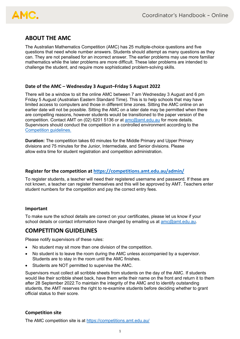# AMC.

# **ABOUT THE AMC**

The Australian Mathematics Competition (AMC) has 25 multiple-choice questions and five questions that need whole number answers. Students should attempt as many questions as they can. They are not penalised for an incorrect answer. The earlier problems may use more familiar mathematics while the later problems are more difficult. These later problems are intended to challenge the student, and require more sophisticated problem-solving skills.

## **Date of the AMC – Wednesday 3 August–Friday 5 August 2022**

There will be a window to sit the online AMC between 7 am Wednesday 3 August and 6 pm Friday 5 August (Australian Eastern Standard Time). This is to help schools that may have limited access to computers and those in different time zones. Sitting the AMC online on an earlier date will not be possible. Sitting the AMC on a later date may be permitted when there are compelling reasons, however students would be transitioned to the paper version of the competition. Contact AMT on (02) 6201 5136 or at amc@amt.edu.au for more details. Supervisors should conduct the competition in a controlled environment according to the Competition guidelines.

**Duration:** The competition takes 60 minutes for the Middle Primary and Upper Primary divisions and 75 minutes for the Junior, Intermediate, and Senior divisions. Please allow extra time for student registration and competition administration.

## **Register for the competition at https://competitions.amt.edu.au/admin/**

To register students, a teacher will need their registered username and password. If these are not known, a teacher can register themselves and this will be approved by AMT. Teachers enter student numbers for the competition and pay the correct entry fees.

## **Important**

To make sure the school details are correct on your certificates, please let us know if your school details or contact information have changed by emailing us at amc@amt.edu.au.

## **COMPETITION GUIDELINES**

Please notify supervisors of these rules:

- No student may sit more than one division of the competition.
- No student is to leave the room during the AMC unless accompanied by a supervisor. Students are to stay in the room until the AMC finishes.
- Students are NOT permitted to supervise the AMC.

Supervisors must collect all scribble sheets from students on the day of the AMC. If students would like their scribble sheet back, have them write their name on the front and return it to them after 28 September 2022.To maintain the integrity of the AMC and to identify outstanding students, the AMT reserves the right to re-examine students before deciding whether to grant official status to their score.

## **Competition site**

The AMC competition site is at https://competitions.amt.edu.au/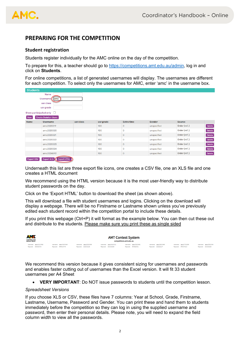

## **PREPARING FOR THE COMPETITION**

#### **Student registration**

Students register individually for the AMC online on the day of the competition.

To prepare for this, a teacher should go to https://competitions.amt.edu.au/admin, log in and click on **Students**.

For online competitions, a list of generated usernames will display. The usernames are different for each competition. To select only the usernames for AMC, enter 'amc' in the username box.

| <b>Students</b> |                               |           |           |                   |             |               |               |  |
|-----------------|-------------------------------|-----------|-----------|-------------------|-------------|---------------|---------------|--|
|                 | <b>Name</b>                   |           |           |                   |             |               |               |  |
|                 | amc<br>Username <sup>[</sup>  |           |           |                   |             |               |               |  |
|                 | usr class                     |           |           |                   |             |               |               |  |
|                 | usr grade                     |           |           |                   |             |               |               |  |
|                 | Show participated only $\Box$ |           |           |                   |             |               |               |  |
| <b>New</b>      | <b>Create Skeleton Users</b>  |           |           |                   |             |               |               |  |
| <b>Name</b>     | <b>Username</b>               | usr class | usr grade | <b>Extra time</b> | Gender      | <b>Source</b> |               |  |
|                 | amc2020019                    |           | 100       | $\mathbf 0$       | unspecified | Order (ref.)  | Delete        |  |
|                 | amc2020020                    |           | 100       | $\mathbf 0$       | unspecified | Order (ref.)  | <b>Delete</b> |  |
|                 | amc2020021                    |           | 100       | $\mathbf 0$       | unspecified | Order (ref.)  | Delete        |  |
|                 | amc2020022                    |           | 100       | $\mathbf 0$       | unspecified | Order (ref.)  | Delete        |  |
|                 | amc2020023                    |           | 100       | $\mathbf{0}$      | unspecified | Order (ref.)  | Delete        |  |
|                 | amc2020024                    |           | 100       | $\mathbf 0$       | unspecified | Order (ref.)  | Delete        |  |
|                 | amc2024892                    |           | 100       | $\mathbf{0}$      | unspecified | Order (ref.)  | Delete        |  |
| Export CSV      | <b>Export XLS</b> Export HTML |           |           |                   |             |               |               |  |

Underneath this list are three export file icons, one creates a CSV file, one an XLS file and one creates a HTML document

We recommend using the HTML version because it is the most user-friendly way to distribute student passwords on the day.

Click on the 'Export HTML' button to download the sheet (as shown above).

This will download a file with student usernames and logins. Clicking on the download will display a webpage. There will be no Firstname or Lastname shown unless you've previously edited each student record within the competition portal to include these details.

If you print this webpage (Ctrl+P) it will format as the example below. You can then cut these out and distribute to the students. Please make sure you print these as single sided

| <b>AMT.</b><br><b>AUSTRALIAN</b><br><b>MATHS TRUST</b> | <b>AMT Contest System</b><br>competitions.amt.edu.au |                                  |                                  |                                          |                                  |                                         |                                  |
|--------------------------------------------------------|------------------------------------------------------|----------------------------------|----------------------------------|------------------------------------------|----------------------------------|-----------------------------------------|----------------------------------|
| Usemame: amc010082<br>Password: Password:              | Username: amc020049<br>Password: FOULUT9             | Username: amc030056<br>Password: | Username: amc040011<br>Password: | Username: amc050061<br>Password: rupzuul | Username: amc060066<br>Password: | Usemame: amc070058<br>Password: FIUUTIU | Username: amc080006<br>Password: |

We recommend this version because it gives consistent sizing for usernames and passwords and enables faster cutting out of usernames than the Excel version. It will fit 33 student usernames per A4 Sheet

• **VERY IMPORTANT**: Do NOT issue passwords to students until the competition lesson.

#### *Spreadsheet Versions*

If you choose XLS or CSV, these files have 7 columns: Year at School, Grade, Firstname, Lastname, Username, Password and Gender. You can print these and hand them to students immediately before the competition so they can log in using the supplied username and password, then enter their personal details. Please note, you will need to expand the field column width to view all the passwords.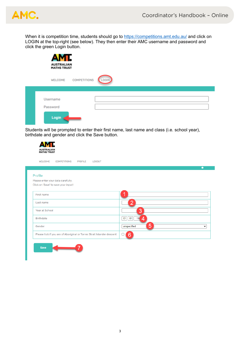

When it is competition time, students should go to https://competitions.amt.edu.au/ and click on LOGIN at the top-right (see below). They then enter their AMC username and password and click the green Login button.

| <b>AMT.</b><br><b>AUSTRALIAN</b><br><b>MATHS TRUST</b> |                     |       |  |  |  |
|--------------------------------------------------------|---------------------|-------|--|--|--|
| WELCOME                                                | <b>COMPETITIONS</b> | LOGIN |  |  |  |
| Username<br>Password<br>Login                          |                     |       |  |  |  |

Students will be prompted to enter their first name, last name and class (i.e. school year), birthdate and gender and click the Save button.

| <b>MATHS TRUST</b>                                                     |                                       |
|------------------------------------------------------------------------|---------------------------------------|
| <b>WELCOME</b><br><b>COMPETITIONS</b><br><b>PROFILE</b><br>LOGOUT      | $\bullet$                             |
| Profile                                                                |                                       |
| Please enter your data carefully.                                      |                                       |
| Click on 'Save' to save your input!                                    |                                       |
| First name                                                             |                                       |
| Last name                                                              | $\overline{2}$                        |
| Year at School                                                         | 3                                     |
| <b>Birthdate</b>                                                       | $\boxed{01}$<br>01<br>19 <sub>4</sub> |
| Gender                                                                 | 5<br>unspecified<br>$\check{ }$       |
| Please tick if you are of Aboriginal or Torres Strait Islander descent | 6<br>$\Box$                           |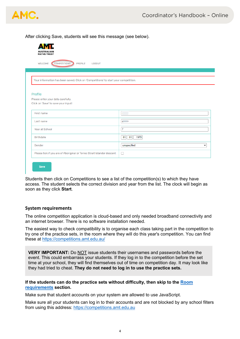

After clicking Save, students will see this message (see below).

| COMPETITIONS<br><b>WELCOME</b><br>PROFILE<br><b>LOGOUT</b>                          |                  |
|-------------------------------------------------------------------------------------|------------------|
|                                                                                     |                  |
| Your information has been saved. Click on 'Competitions' to start your competition. |                  |
|                                                                                     |                  |
| Profile                                                                             |                  |
| Please enter your data carefully.                                                   |                  |
| Click on 'Save' to save your input!                                                 |                  |
|                                                                                     |                  |
| First name                                                                          |                  |
| Last name                                                                           | $C_1 = 0$        |
| Year at School                                                                      | $\overline{7}$   |
| <b>Birthdate</b>                                                                    | 01<br>1970<br>01 |
| Gender                                                                              | unspecified<br>v |

Students then click on Competitions to see a list of the competition(s) to which they have access. The student selects the correct division and year from the list. The clock will begin as soon as they click **Start**.

#### **System requirements**

The online competition application is cloud-based and only needed broadband connectivity and an internet browser. There is no software installation needed.

The easiest way to check compatibility is to organise each class taking part in the competition to try one of the practice sets, in the room where they will do this year's competition. You can find these at https://competitions.amt.edu.au/

**VERY IMPORTANT:** Do NOT issue students their usernames and passwords before the event. This could embarrass your students. If they log in to the competition before the set time at your school, they will find themselves out of time on competition day. It may look like they had tried to cheat. **They do not need to log in to use the practice sets.**

#### **If the students can do the practice sets without difficulty, then skip to the Room requirements section.**

Make sure that student accounts on your system are allowed to use JavaScript.

Make sure all your students can log in to their accounts and are not blocked by any school filters from using this address: https://competitions.amt.edu.au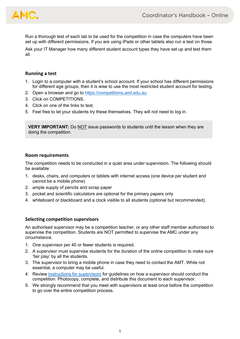

Run a thorough test of each lab to be used for the competition in case the computers have been set up with different permissions. If you are using iPads or other tablets also run a test on those.

Ask your IT Manager how many different student account types they have set up and test them all.

#### **Running a test**

- 1. Login to a computer with a student's school account. If your school has different permissions for different age groups, then it is wise to use the most restricted student account for testing.
- 2. Open a browser and go to https://competitions.amt.edu.au
- 3. Click on COMPETITIONS.
- 4. Click on one of the links to test.
- 5. Feel free to let your students try these themselves. They will not need to log in.

**VERY IMPORTANT:** Do NOT issue passwords to students until the lesson when they are doing the competition.

#### **Room requirements**

The competition needs to be conducted in a quiet area under supervision. The following should be available:

- 1. desks, chairs, and computers or tablets with internet access (one device per student and cannot be a mobile phone)
- 2. ample supply of pencils and scrap paper
- 3. pocket and scientific calculators are optional for the primary papers only
- 4. whiteboard or blackboard and a clock visible to all students (optional but recommended).

#### **Selecting competition supervisors**

An authorised supervisor may be a competition teacher, or any other staff member authorised to supervise the competition. Students are NOT permitted to supervise the AMC under any circumstance.

- 1. One supervisor per 40 or fewer students is required.
- 2. A supervisor must supervise students for the duration of the online competition to make sure 'fair play' by all the students.
- 3. The supervisor to bring a mobile phone in case they need to contact the AMT. While not essential, a computer may be useful.
- 4. Review Instructions for supervisors for guidelines on how a supervisor should conduct the competition. Photocopy, complete, and distribute this document to each supervisor.
- 5. We strongly recommend that you meet with supervisors at least once before the competition to go over the entire competition process.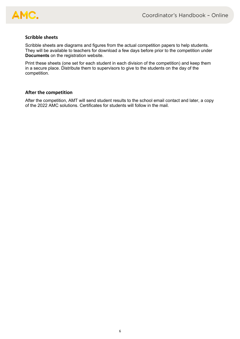

#### **Scribble sheets**

Scribble sheets are diagrams and figures from the actual competition papers to help students. They will be available to teachers for download a few days before prior to the competition under **Documents** on the registration website.

Print these sheets (one set for each student in each division of the competition) and keep them in a secure place. Distribute them to supervisors to give to the students on the day of the competition.

#### **After the competition**

After the competition, AMT will send student results to the school email contact and later, a copy of the 2022 AMC solutions. Certificates for students will follow in the mail.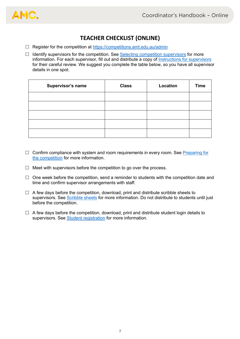

## **TEACHER CHECKLIST (ONLINE)**

- $\Box$  Register for the competition at https://competitions.amt.edu.au/admin
- $\Box$  Identify supervisors for the competition. See Selecting competition supervisors for more information. For each supervisor, fill out and distribute a copy of Instructions for supervisors for their careful review. We suggest you complete the table below, so you have all supervisor details in one spot.

| Supervisor's name | <b>Class</b> | Location | <b>Time</b> |
|-------------------|--------------|----------|-------------|
|                   |              |          |             |
|                   |              |          |             |
|                   |              |          |             |
|                   |              |          |             |
|                   |              |          |             |

- $\Box$  Confirm compliance with system and room requirements in every room. See Preparing for the competition for more information.
- $\Box$  Meet with supervisors before the competition to go over the process.
- $\Box$  One week before the competition, send a reminder to students with the competition date and time and confirm supervisor arrangements with staff.
- $\Box$  A few days before the competition, download, print and distribute scribble sheets to supervisors. See Scribble sheets for more information. Do not distribute to students until just before the competition.
- $\Box$  A few days before the competition, download, print and distribute student login details to supervisors. See Student registration for more information.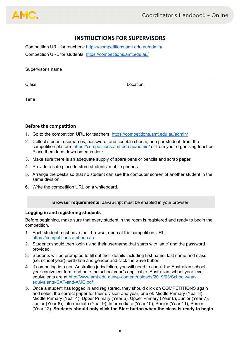## **INSTRUCTIONS FOR SUPERVISORS**

Competition URL for teachers: https://competitions.amt.edu.au/admin/ Competition URL for students: https://competitions.amt.edu.au/

| Supervisor's name |          |  |  |  |  |
|-------------------|----------|--|--|--|--|
| Class             | Location |  |  |  |  |
| Time              |          |  |  |  |  |

#### **Before the competition**

- 1. Go to the competition URL for teachers: https://competitions.amt.edu.au/admin/
- 2. Collect student usernames, password, and scribble sheets, one per student, from the competition platform https://competitions.amt.edu.au/admin/ or from your organising teacher. Place them face down on each desk.
- 3. Make sure there is an adequate supply of spare pens or pencils and scrap paper.
- 4. Provide a safe place to store students' mobile phones.
- 5. Arrange the desks so that no student can see the computer screen of another student in the same division.
- 6. Write the competition URL on a whiteboard.

**Browser requirements:** JavaScript must be enabled in your browser.

#### **Logging in and registering students**

Before beginning, make sure that every student in the room is registered and ready to begin the competition.

- 1. Each student must have their browser open at the competition URL: https://competitions.amt.edu.au
- 2. Students should then login using their username that starts with 'amc' and the password provided.
- 3. Students will be prompted to fill out their details including first name, last name and class (i.e. school year), birthdate and gender and click the Save button.
- 4. If competing in a non-Australian jurisdiction, you will need to check the Australian school year equivalent form and note the school year/s applicable. Australian school year level equivalents are at http://www.amt.edu.au/wp-content/uploads/2019/03/School-yearequivalents-CAT-and-AMC.pdf
- 5. Once a student has logged in and registered, they should click on COMPETITIONS again and select the correct paper for their division and year, one of: Middle Primary (Year 3), Middle Primary (Year 4), Upper Primary (Year 5), Upper Primary (Year 6), Junior (Year 7), Junior (Year 8), Intermediate (Year 9), Intermediate (Year 10), Senior (Year 11), Senior (Year 12). **Students should only click the Start button when the class is ready to begin.**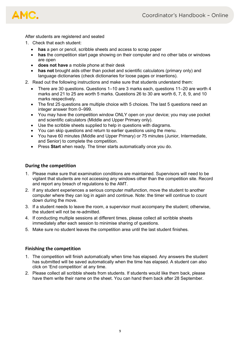

After students are registered and seated

- 1. Check that each student:
	- **has** a pen or pencil, scribble sheets and access to scrap paper
	- **has** the competition start page showing on their computer and no other tabs or windows are open
	- **does not have** a mobile phone at their desk
	- **has not** brought aids other than pocket and scientific calculators (primary only) and language dictionaries (check dictionaries for loose pages or insertions).
- 2. Read out the following instructions and make sure that students understand them:
	- There are 30 questions. Questions 1–10 are 3 marks each, questions 11–20 are worth 4 marks and 21 to 25 are worth 5 marks. Questions 26 to 30 are worth 6, 7, 8, 9, and 10 marks respectively.
	- The first 25 questions are multiple choice with 5 choices. The last 5 questions need an integer answer from 0–999.
	- You may have the competition window ONLY open on your device; you may use pocket and scientific calculators (Middle and Upper Primary only).
	- Use the scribble sheets supplied to help in questions with diagrams.
	- You can skip questions and return to earlier questions using the menu.
	- You have 60 minutes (Middle and Upper Primary) or 75 minutes (Junior, Intermediate, and Senior) to complete the competition.
	- Press **Start** when ready. The timer starts automatically once you do.

#### **During the competition**

- 1. Please make sure that examination conditions are maintained. Supervisors will need to be vigilant that students are not accessing any windows other than the competition site. Record and report any breach of regulations to the AMT.
- 2. If any student experiences a serious computer malfunction, move the student to another computer where they can log in again and continue. Note: the timer will continue to count down during the move.
- 3. If a student needs to leave the room, a supervisor must accompany the student; otherwise, the student will not be re-admitted.
- 4. If conducting multiple sessions at different times, please collect all scribble sheets immediately after each session to minimise sharing of questions.
- 5. Make sure no student leaves the competition area until the last student finishes.

#### **Finishing the competition**

- 1. The competition will finish automatically when time has elapsed. Any answers the student has submitted will be saved automatically when the time has elapsed. A student can also click on 'End competition' at any time.
- 2. Please collect all scribble sheets from students. If students would like them back, please have them write their name on the sheet. You can hand them back after 28 September.